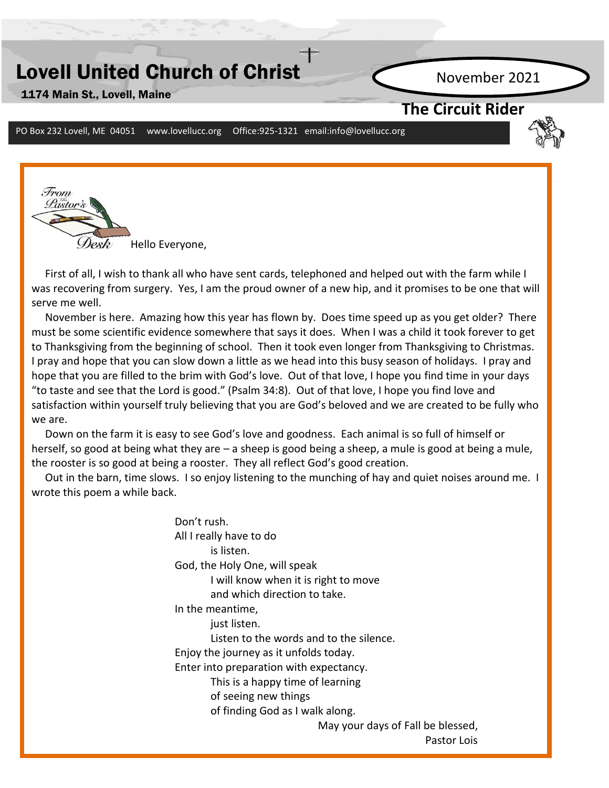# Lovell United Church of Christ

1174 Main St., Lovell, Maine

November 2021

### **The Circuit Rider**

PO Box 232 Lovell, ME 04051 www.lovellucc.org Office:925-1321 email:info@lovellucc.org



 First of all, I wish to thank all who have sent cards, telephoned and helped out with the farm while I was recovering from surgery. Yes, I am the proud owner of a new hip, and it promises to be one that will serve me well.

 November is here. Amazing how this year has flown by. Does time speed up as you get older? There must be some scientific evidence somewhere that says it does. When I was a child it took forever to get to Thanksgiving from the beginning of school. Then it took even longer from Thanksgiving to Christmas. I pray and hope that you can slow down a little as we head into this busy season of holidays. I pray and hope that you are filled to the brim with God's love. Out of that love, I hope you find time in your days "to taste and see that the Lord is good." (Psalm 34:8). Out of that love, I hope you find love and satisfaction within yourself truly believing that you are God's beloved and we are created to be fully who we are.

**Applying the control of the sectual state of the set of the section of the set of the set of the set of the set o**<br>herself, so good at being what they are – a sheep is good being a sheep, a mule is good at being a mule, Down on the farm it is easy to see God's love and goodness. Each animal is so full of himself or the rooster is so good at being a rooster. They all reflect God's good creation.

 Out in the barn, time slows. I so enjoy listening to the munching of hay and quiet noises around me. I wrote this poem a while back.

> Don't rush. All I really have to do is listen. God, the Holy One, will speak I will know when it is right to move and which direction to take. In the meantime, just listen. Listen to the words and to the silence. Enjoy the journey as it unfolds today. Enter into preparation with expectancy. This is a happy time of learning of seeing new things of finding God as I walk along. May your days of Fall be blessed, Pastor Lois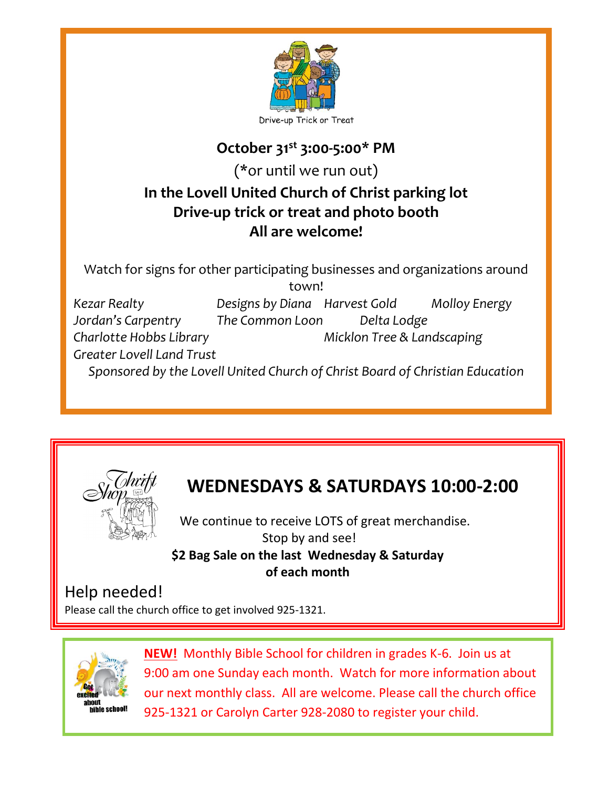

### **October 31st 3:00-5:00\* PM**

(\*or until we run out)

# **In the Lovell United Church of Christ parking lot Drive-up trick or treat and photo booth All are welcome!**

Watch for signs for other participating businesses and organizations around town! *Kezar Realty Designs by Diana Harvest Gold Molloy Energy Jordan's Carpentry The Common Loon Delta Lodge Charlotte Hobbs Library Micklon Tree & Landscaping Greater Lovell Land Trust Sponsored by the Lovell United Church of Christ Board of Christian Education*





# **WEDNESDAYS & SATURDAYS 10:00-2:00**

 We continue to receive LOTS of great merchandise. Stop by and see! **\$2 Bag Sale on the last Wednesday & Saturday of each month**

## Help needed!

Please call the church office to get involved 925-1321.



**NEW!** Monthly Bible School for children in grades K-6. Join us at 9:00 am one Sunday each month. Watch for more information about our next monthly class. All are welcome. Please call the church office 925-1321 or Carolyn Carter 928-2080 to register your child.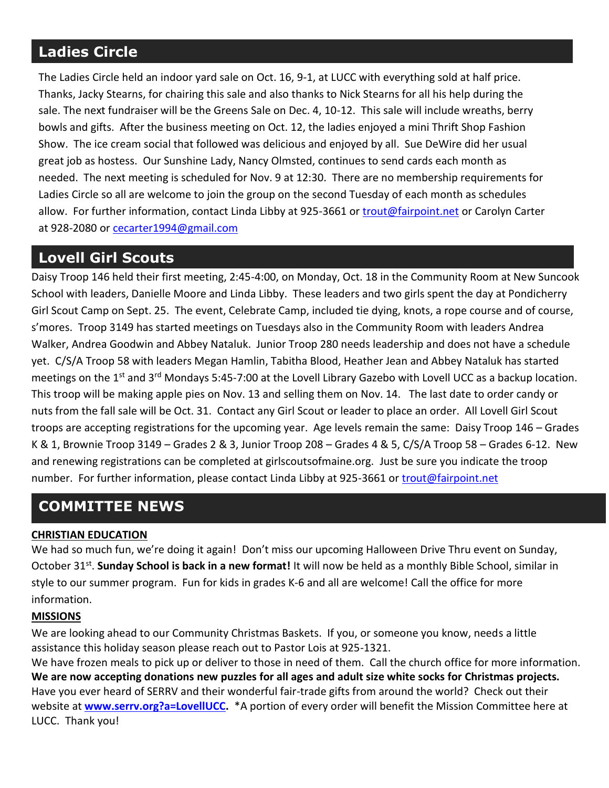# **Ladies Circle**

The Ladies Circle held an indoor yard sale on Oct. 16, 9-1, at LUCC with everything sold at half price. Thanks, Jacky Stearns, for chairing this sale and also thanks to Nick Stearns for all his help during the sale. The next fundraiser will be the Greens Sale on Dec. 4, 10-12. This sale will include wreaths, berry bowls and gifts. After the business meeting on Oct. 12, the ladies enjoyed a mini Thrift Shop Fashion Show. The ice cream social that followed was delicious and enjoyed by all. Sue DeWire did her usual great job as hostess. Our Sunshine Lady, Nancy Olmsted, continues to send cards each month as needed. The next meeting is scheduled for Nov. 9 at 12:30. There are no membership requirements for Ladies Circle so all are welcome to join the group on the second Tuesday of each month as schedules allow. For further information, contact Linda Libby at 925-3661 or [trout@fairpoint.net](mailto:trout@fairpoint.net) or Carolyn Carter at 928-2080 or [cecarter1994@gmail.com](mailto:cecarter1994@gmail.com)

## **Lovell Girl Scouts**

Daisy Troop 146 held their first meeting, 2:45-4:00, on Monday, Oct. 18 in the Community Room at New Suncook School with leaders, Danielle Moore and Linda Libby. These leaders and two girls spent the day at Pondicherry Girl Scout Camp on Sept. 25. The event, Celebrate Camp, included tie dying, knots, a rope course and of course, s'mores. Troop 3149 has started meetings on Tuesdays also in the Community Room with leaders Andrea Walker, Andrea Goodwin and Abbey Nataluk. Junior Troop 280 needs leadership and does not have a schedule yet. C/S/A Troop 58 with leaders Megan Hamlin, Tabitha Blood, Heather Jean and Abbey Nataluk has started meetings on the 1<sup>st</sup> and 3<sup>rd</sup> Mondays 5:45-7:00 at the Lovell Library Gazebo with Lovell UCC as a backup location. This troop will be making apple pies on Nov. 13 and selling them on Nov. 14. The last date to order candy or nuts from the fall sale will be Oct. 31. Contact any Girl Scout or leader to place an order. All Lovell Girl Scout troops are accepting registrations for the upcoming year. Age levels remain the same: Daisy Troop 146 – Grades K & 1, Brownie Troop 3149 – Grades 2 & 3, Junior Troop 208 – Grades 4 & 5, C/S/A Troop 58 – Grades 6-12. New and renewing registrations can be completed at girlscoutsofmaine.org. Just be sure you indicate the troop number. For further information, please contact Linda Libby at 925-3661 or [trout@fairpoint.net](mailto:trout@fairpoint.net)

## **COMMITTEE NEWS**

#### **CHRISTIAN EDUCATION**

We had so much fun, we're doing it again! Don't miss our upcoming Halloween Drive Thru event on Sunday, October 31<sup>st</sup>. **Sunday School is back in a new format!** It will now be held as a monthly Bible School, similar in style to our summer program. Fun for kids in grades K-6 and all are welcome! Call the office for more information.

#### **MISSIONS**

We are looking ahead to our Community Christmas Baskets. If you, or someone you know, needs a little assistance this holiday season please reach out to Pastor Lois at 925-1321.

We have frozen meals to pick up or deliver to those in need of them. Call the church office for more information. **We are now accepting donations new puzzles for all ages and adult size white socks for Christmas projects.** Have you ever heard of SERRV and their wonderful fair-trade gifts from around the world? Check out their website at **[www.serrv.org?a=LovellUCC.](http://www.serrv.org/?a=LovellUCC)** \*A portion of every order will benefit the Mission Committee here at LUCC. Thank you!